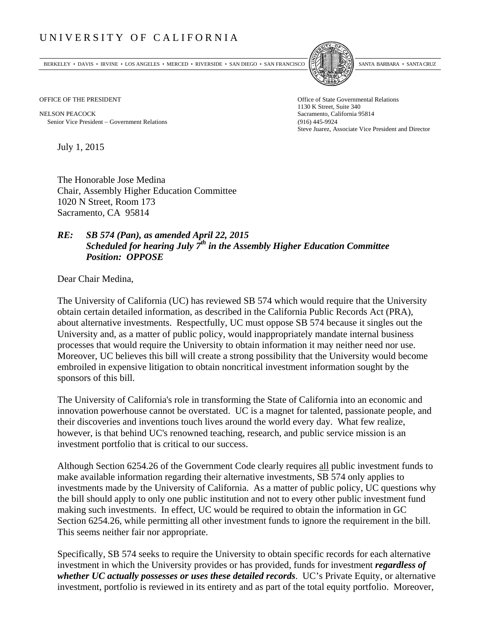## UNIVERSITY OF CALIFORNIA

BERKELEY • DAVIS • IRVINE • LOS ANGELES • MERCED • RIVERSIDE • SAN DIEGO • SAN FRANCISCO SANTA BARBARA • SANTA CRUZ



OFFICE OF THE PRESIDENT STATES OF THE PRESIDENT

NELSON PEACOCK Sacramento, California 95814 Senior Vice President Government Relations (916) 445-9924

1130 K Street, Suite 340 Steve Juarez, Associate Vice President and Director

July 1, 2015

The Honorable Jose Medina Chair, Assembly Higher Education Committee 1020 N Street, Room 173 Sacramento, CA 95814

## *RE: SB 574 (Pan), as amended April 22, 2015 Scheduled for hearing July 7<sup>th</sup> in the Assembly Higher Education Committee Position: OPPOSE*

Dear Chair Medina,

The University of California (UC) has reviewed SB 574 which would require that the University obtain certain detailed information, as described in the California Public Records Act (PRA), about alternative investments. Respectfully, UC must oppose SB 574 because it singles out the University and, as a matter of public policy, would inappropriately mandate internal business processes that would require the University to obtain information it may neither need nor use. Moreover, UC believes this bill will create a strong possibility that the University would become embroiled in expensive litigation to obtain noncritical investment information sought by the sponsors of this bill.

The University of California's role in transforming the State of California into an economic and innovation powerhouse cannot be overstated. UC is a magnet for talented, passionate people, and their discoveries and inventions touch lives around the world every day. What few realize, however, is that behind UC's renowned teaching, research, and public service mission is an investment portfolio that is critical to our success.

Although Section 6254.26 of the Government Code clearly requires all public investment funds to make available information regarding their alternative investments, SB 574 only applies to investments made by the University of California. As a matter of public policy, UC questions why the bill should apply to only one public institution and not to every other public investment fund making such investments. In effect, UC would be required to obtain the information in GC Section 6254.26, while permitting all other investment funds to ignore the requirement in the bill. This seems neither fair nor appropriate.

Specifically, SB 574 seeks to require the University to obtain specific records for each alternative investment in which the University provides or has provided, funds for investment *regardless of whether UC actually possesses or uses these detailed records*. UC's Private Equity, or alternative investment, portfolio is reviewed in its entirety and as part of the total equity portfolio. Moreover,